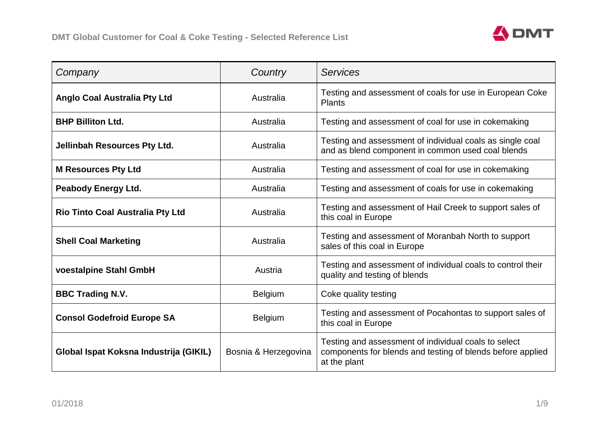

| Company                                 | Country              | <b>Services</b>                                                                                                                    |
|-----------------------------------------|----------------------|------------------------------------------------------------------------------------------------------------------------------------|
| <b>Anglo Coal Australia Pty Ltd</b>     | Australia            | Testing and assessment of coals for use in European Coke<br><b>Plants</b>                                                          |
| <b>BHP Billiton Ltd.</b>                | Australia            | Testing and assessment of coal for use in cokemaking                                                                               |
| <b>Jellinbah Resources Pty Ltd.</b>     | Australia            | Testing and assessment of individual coals as single coal<br>and as blend component in common used coal blends                     |
| <b>M Resources Pty Ltd</b>              | Australia            | Testing and assessment of coal for use in cokemaking                                                                               |
| <b>Peabody Energy Ltd.</b>              | Australia            | Testing and assessment of coals for use in cokemaking                                                                              |
| <b>Rio Tinto Coal Australia Pty Ltd</b> | Australia            | Testing and assessment of Hail Creek to support sales of<br>this coal in Europe                                                    |
| <b>Shell Coal Marketing</b>             | Australia            | Testing and assessment of Moranbah North to support<br>sales of this coal in Europe                                                |
| voestalpine Stahl GmbH                  | Austria              | Testing and assessment of individual coals to control their<br>quality and testing of blends                                       |
| <b>BBC Trading N.V.</b>                 | <b>Belgium</b>       | Coke quality testing                                                                                                               |
| <b>Consol Godefroid Europe SA</b>       | <b>Belgium</b>       | Testing and assessment of Pocahontas to support sales of<br>this coal in Europe                                                    |
| Global Ispat Koksna Industrija (GIKIL)  | Bosnia & Herzegovina | Testing and assessment of individual coals to select<br>components for blends and testing of blends before applied<br>at the plant |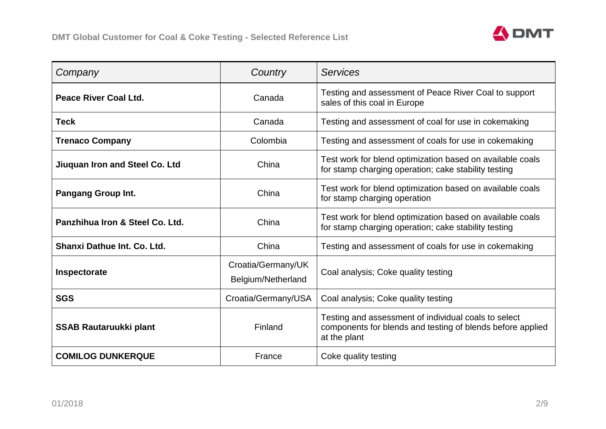

| Company                         | Country                                  | <b>Services</b>                                                                                                                    |
|---------------------------------|------------------------------------------|------------------------------------------------------------------------------------------------------------------------------------|
| Peace River Coal Ltd.           | Canada                                   | Testing and assessment of Peace River Coal to support<br>sales of this coal in Europe                                              |
| <b>Teck</b>                     | Canada                                   | Testing and assessment of coal for use in cokemaking                                                                               |
| <b>Trenaco Company</b>          | Colombia                                 | Testing and assessment of coals for use in cokemaking                                                                              |
| Jiuquan Iron and Steel Co. Ltd  | China                                    | Test work for blend optimization based on available coals<br>for stamp charging operation; cake stability testing                  |
| <b>Pangang Group Int.</b>       | China                                    | Test work for blend optimization based on available coals<br>for stamp charging operation                                          |
| Panzhihua Iron & Steel Co. Ltd. | China                                    | Test work for blend optimization based on available coals<br>for stamp charging operation; cake stability testing                  |
| Shanxi Dathue Int. Co. Ltd.     | China                                    | Testing and assessment of coals for use in cokemaking                                                                              |
| Inspectorate                    | Croatia/Germany/UK<br>Belgium/Netherland | Coal analysis; Coke quality testing                                                                                                |
| <b>SGS</b>                      | Croatia/Germany/USA                      | Coal analysis; Coke quality testing                                                                                                |
| <b>SSAB Rautaruukki plant</b>   | Finland                                  | Testing and assessment of individual coals to select<br>components for blends and testing of blends before applied<br>at the plant |
| <b>COMILOG DUNKERQUE</b>        | France                                   | Coke quality testing                                                                                                               |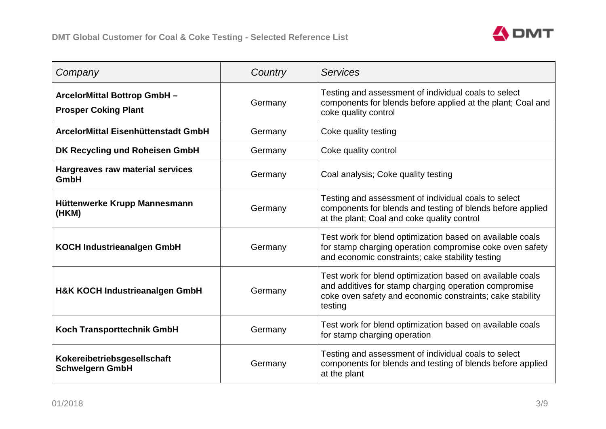

| Company                                                           | Country | <b>Services</b>                                                                                                                                                                            |
|-------------------------------------------------------------------|---------|--------------------------------------------------------------------------------------------------------------------------------------------------------------------------------------------|
| <b>ArcelorMittal Bottrop GmbH-</b><br><b>Prosper Coking Plant</b> | Germany | Testing and assessment of individual coals to select<br>components for blends before applied at the plant; Coal and<br>coke quality control                                                |
| ArcelorMittal Eisenhüttenstadt GmbH                               | Germany | Coke quality testing                                                                                                                                                                       |
| DK Recycling und Roheisen GmbH                                    | Germany | Coke quality control                                                                                                                                                                       |
| <b>Hargreaves raw material services</b><br>GmbH                   | Germany | Coal analysis; Coke quality testing                                                                                                                                                        |
| Hüttenwerke Krupp Mannesmann<br>(HKM)                             | Germany | Testing and assessment of individual coals to select<br>components for blends and testing of blends before applied<br>at the plant; Coal and coke quality control                          |
| <b>KOCH Industrieanalgen GmbH</b>                                 | Germany | Test work for blend optimization based on available coals<br>for stamp charging operation compromise coke oven safety<br>and economic constraints; cake stability testing                  |
| <b>H&amp;K KOCH Industrieanalgen GmbH</b>                         | Germany | Test work for blend optimization based on available coals<br>and additives for stamp charging operation compromise<br>coke oven safety and economic constraints; cake stability<br>testing |
| <b>Koch Transporttechnik GmbH</b>                                 | Germany | Test work for blend optimization based on available coals<br>for stamp charging operation                                                                                                  |
| Kokereibetriebsgesellschaft<br><b>Schwelgern GmbH</b>             | Germany | Testing and assessment of individual coals to select<br>components for blends and testing of blends before applied<br>at the plant                                                         |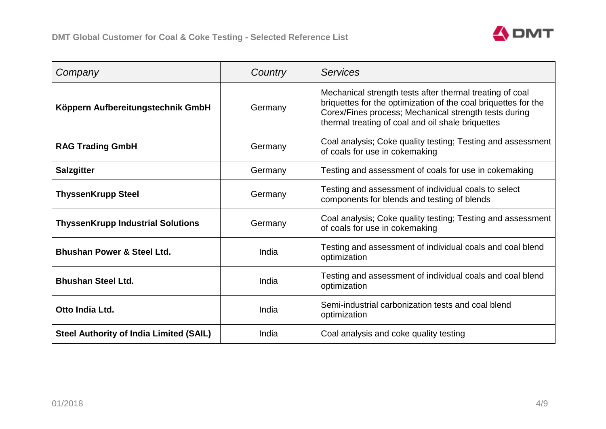

| Company                                        | Country | <b>Services</b>                                                                                                                                                                                                                          |
|------------------------------------------------|---------|------------------------------------------------------------------------------------------------------------------------------------------------------------------------------------------------------------------------------------------|
| Köppern Aufbereitungstechnik GmbH              | Germany | Mechanical strength tests after thermal treating of coal<br>briquettes for the optimization of the coal briquettes for the<br>Corex/Fines process; Mechanical strength tests during<br>thermal treating of coal and oil shale briquettes |
| <b>RAG Trading GmbH</b>                        | Germany | Coal analysis; Coke quality testing; Testing and assessment<br>of coals for use in cokemaking                                                                                                                                            |
| <b>Salzgitter</b>                              | Germany | Testing and assessment of coals for use in cokemaking                                                                                                                                                                                    |
| <b>ThyssenKrupp Steel</b>                      | Germany | Testing and assessment of individual coals to select<br>components for blends and testing of blends                                                                                                                                      |
| <b>ThyssenKrupp Industrial Solutions</b>       | Germany | Coal analysis; Coke quality testing; Testing and assessment<br>of coals for use in cokemaking                                                                                                                                            |
| <b>Bhushan Power &amp; Steel Ltd.</b>          | India   | Testing and assessment of individual coals and coal blend<br>optimization                                                                                                                                                                |
| <b>Bhushan Steel Ltd.</b>                      | India   | Testing and assessment of individual coals and coal blend<br>optimization                                                                                                                                                                |
| Otto India Ltd.                                | India   | Semi-industrial carbonization tests and coal blend<br>optimization                                                                                                                                                                       |
| <b>Steel Authority of India Limited (SAIL)</b> | India   | Coal analysis and coke quality testing                                                                                                                                                                                                   |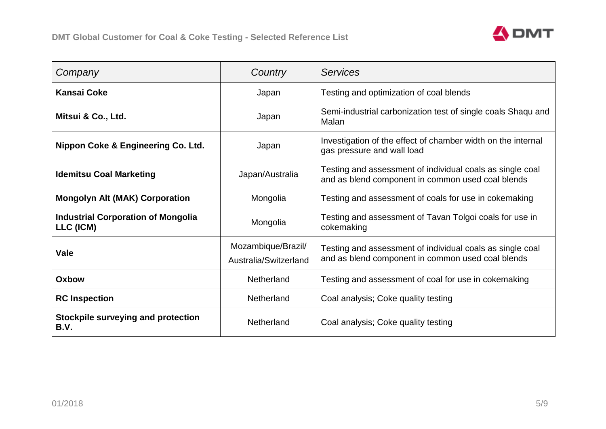

| Company                                                | Country                                     | <b>Services</b>                                                                                                |
|--------------------------------------------------------|---------------------------------------------|----------------------------------------------------------------------------------------------------------------|
| <b>Kansai Coke</b>                                     | Japan                                       | Testing and optimization of coal blends                                                                        |
| Mitsui & Co., Ltd.                                     | Japan                                       | Semi-industrial carbonization test of single coals Shaqu and<br>Malan                                          |
| Nippon Coke & Engineering Co. Ltd.                     | Japan                                       | Investigation of the effect of chamber width on the internal<br>gas pressure and wall load                     |
| <b>Idemitsu Coal Marketing</b>                         | Japan/Australia                             | Testing and assessment of individual coals as single coal<br>and as blend component in common used coal blends |
| <b>Mongolyn Alt (MAK) Corporation</b>                  | Mongolia                                    | Testing and assessment of coals for use in cokemaking                                                          |
| <b>Industrial Corporation of Mongolia</b><br>LLC (ICM) | Mongolia                                    | Testing and assessment of Tavan Tolgoi coals for use in<br>cokemaking                                          |
| Vale                                                   | Mozambique/Brazil/<br>Australia/Switzerland | Testing and assessment of individual coals as single coal<br>and as blend component in common used coal blends |
| Oxbow                                                  | Netherland                                  | Testing and assessment of coal for use in cokemaking                                                           |
| <b>RC</b> Inspection                                   | Netherland                                  | Coal analysis; Coke quality testing                                                                            |
| <b>Stockpile surveying and protection</b><br>B.V.      | Netherland                                  | Coal analysis; Coke quality testing                                                                            |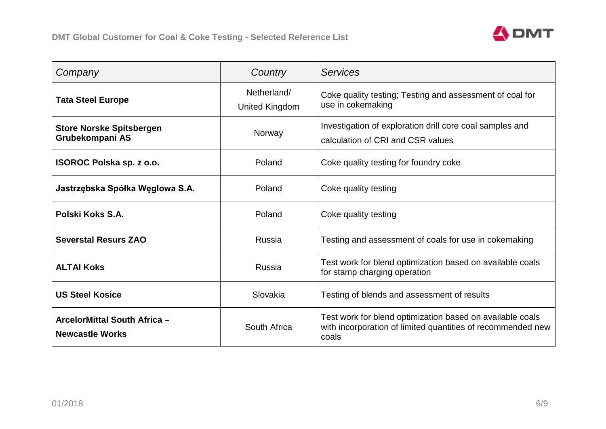

| Company                                                | Country                       | <b>Services</b>                                                                                                                   |
|--------------------------------------------------------|-------------------------------|-----------------------------------------------------------------------------------------------------------------------------------|
| <b>Tata Steel Europe</b>                               | Netherland/<br>United Kingdom | Coke quality testing; Testing and assessment of coal for<br>use in cokemaking                                                     |
| <b>Store Norske Spitsbergen</b><br>Grubekompani AS     | Norway                        | Investigation of exploration drill core coal samples and<br>calculation of CRI and CSR values                                     |
| ISOROC Polska sp. z o.o.                               | Poland                        | Coke quality testing for foundry coke                                                                                             |
| Jastrzębska Spółka Węglowa S.A.                        | Poland                        | Coke quality testing                                                                                                              |
| Polski Koks S.A.                                       | Poland                        | Coke quality testing                                                                                                              |
| <b>Severstal Resurs ZAO</b>                            | Russia                        | Testing and assessment of coals for use in cokemaking                                                                             |
| <b>ALTAI Koks</b>                                      | Russia                        | Test work for blend optimization based on available coals<br>for stamp charging operation                                         |
| <b>US Steel Kosice</b>                                 | Slovakia                      | Testing of blends and assessment of results                                                                                       |
| ArcelorMittal South Africa -<br><b>Newcastle Works</b> | South Africa                  | Test work for blend optimization based on available coals<br>with incorporation of limited quantities of recommended new<br>coals |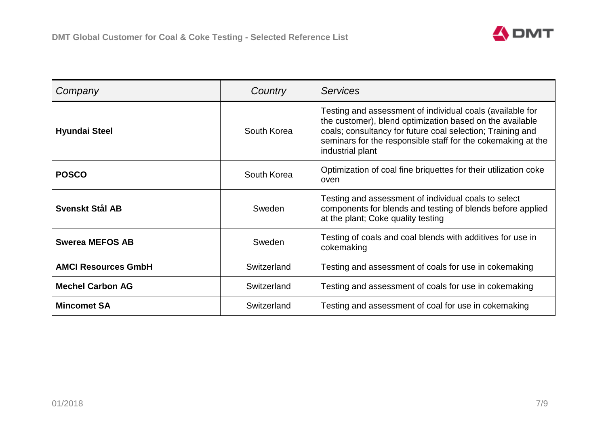

| Company                    | Country     | Services                                                                                                                                                                                                                                                                |
|----------------------------|-------------|-------------------------------------------------------------------------------------------------------------------------------------------------------------------------------------------------------------------------------------------------------------------------|
| <b>Hyundai Steel</b>       | South Korea | Testing and assessment of individual coals (available for<br>the customer), blend optimization based on the available<br>coals; consultancy for future coal selection; Training and<br>seminars for the responsible staff for the cokemaking at the<br>industrial plant |
| <b>POSCO</b>               | South Korea | Optimization of coal fine briquettes for their utilization coke<br>oven                                                                                                                                                                                                 |
| Svenskt Stål AB            | Sweden      | Testing and assessment of individual coals to select<br>components for blends and testing of blends before applied<br>at the plant; Coke quality testing                                                                                                                |
| <b>Swerea MEFOS AB</b>     | Sweden      | Testing of coals and coal blends with additives for use in<br>cokemaking                                                                                                                                                                                                |
| <b>AMCI Resources GmbH</b> | Switzerland | Testing and assessment of coals for use in cokemaking                                                                                                                                                                                                                   |
| <b>Mechel Carbon AG</b>    | Switzerland | Testing and assessment of coals for use in cokemaking                                                                                                                                                                                                                   |
| <b>Mincomet SA</b>         | Switzerland | Testing and assessment of coal for use in cokemaking                                                                                                                                                                                                                    |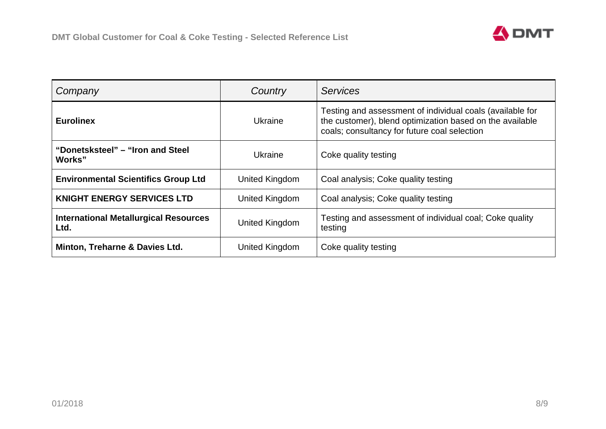

| Company                                              | Country        | <b>Services</b>                                                                                                                                                       |
|------------------------------------------------------|----------------|-----------------------------------------------------------------------------------------------------------------------------------------------------------------------|
| <b>Eurolinex</b>                                     | Ukraine        | Testing and assessment of individual coals (available for<br>the customer), blend optimization based on the available<br>coals; consultancy for future coal selection |
| "Donetsksteel" – "Iron and Steel<br>Works"           | Ukraine        | Coke quality testing                                                                                                                                                  |
| <b>Environmental Scientifics Group Ltd</b>           | United Kingdom | Coal analysis; Coke quality testing                                                                                                                                   |
| <b>KNIGHT ENERGY SERVICES LTD</b>                    | United Kingdom | Coal analysis; Coke quality testing                                                                                                                                   |
| <b>International Metallurgical Resources</b><br>Ltd. | United Kingdom | Testing and assessment of individual coal; Coke quality<br>testing                                                                                                    |
| Minton, Treharne & Davies Ltd.                       | United Kingdom | Coke quality testing                                                                                                                                                  |